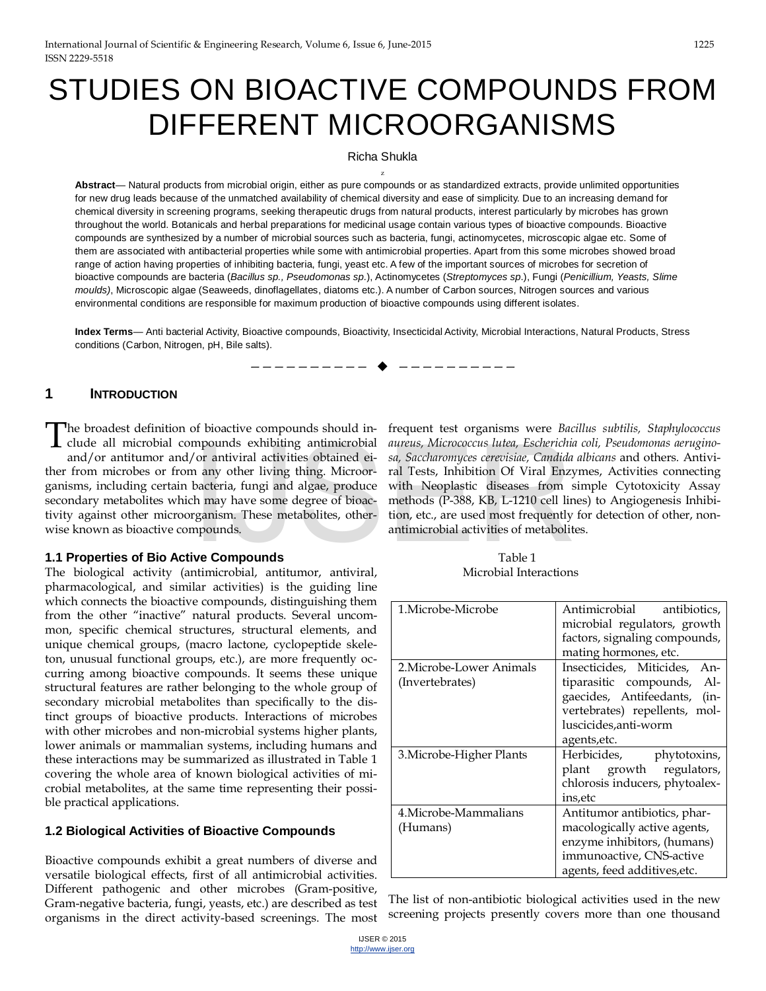# STUDIES ON BIOACTIVE COMPOUNDS FROM DIFFERENT MICROORGANISMS

#### Richa Shukla z

**Abstract**— Natural products from microbial origin, either as pure compounds or as standardized extracts, provide unlimited opportunities for new drug leads because of the unmatched availability of chemical diversity and ease of simplicity. Due to an increasing demand for chemical diversity in screening programs, seeking therapeutic drugs from natural products, interest particularly by microbes has grown throughout the world. Botanicals and herbal preparations for medicinal usage contain various types of bioactive compounds. Bioactive compounds are synthesized by a number of microbial sources such as bacteria, fungi, actinomycetes, microscopic algae etc. Some of them are associated with antibacterial properties while some with antimicrobial properties. Apart from this some microbes showed broad range of action having properties of inhibiting bacteria, fungi, yeast etc. A few of the important sources of microbes for secretion of bioactive compounds are bacteria (*Bacillus sp., Pseudomonas sp.*), Actinomycetes (*Streptomyces sp*.), Fungi (*Penicillium, Yeasts, Slime moulds)*, Microscopic algae (Seaweeds, dinoflagellates, diatoms etc.). A number of Carbon sources, Nitrogen sources and various environmental conditions are responsible for maximum production of bioactive compounds using different isolates.

**Index Terms**— Anti bacterial Activity, Bioactive compounds, Bioactivity, Insecticidal Activity, Microbial Interactions, Natural Products, Stress conditions (Carbon, Nitrogen, pH, Bile salts).

-------**- ♦** ----------

## **1 INTRODUCTION**

he broadest definition of bioactive compounds should in-The broadest definition of bioactive compounds should include all microbial compounds exhibiting antimicrobial  $\frac{1}{2}$ and/or antitumor and/or antiviral activities obtained either from microbes or from any other living thing. Microorganisms, including certain bacteria, fungi and algae, produce secondary metabolites which may have some degree of bioactivity against other microorganism. These metabolites, otherwise known as bioactive compounds. mpounds exhibiting antimicrobial *aureus*, Micrococcus lutea, Escherichia<br>
(or antiviral activities obtained ei- *sa*, *Saccharomyces cerevisiae*, *Candida*<br>
n any other living thing. Microor- ral Tests, Inhibition Of Vira

#### **1.1 Properties of Bio Active Compounds**

The biological activity (antimicrobial, antitumor, antiviral, pharmacological, and similar activities) is the guiding line which connects the bioactive compounds, distinguishing them from the other "inactive" natural products. Several uncommon, specific chemical structures, structural elements, and unique chemical groups, (macro lactone, cyclopeptide skeleton, unusual functional groups, etc.), are more frequently occurring among bioactive compounds. It seems these unique structural features are rather belonging to the whole group of secondary microbial metabolites than specifically to the distinct groups of bioactive products. Interactions of microbes with other microbes and non-microbial systems higher plants, lower animals or mammalian systems, including humans and these interactions may be summarized as illustrated in Table 1 covering the whole area of known biological activities of microbial metabolites, at the same time representing their possible practical applications.

#### **1.2 Biological Activities of Bioactive Compounds**

Bioactive compounds exhibit a great numbers of diverse and versatile biological effects, first of all antimicrobial activities. Different pathogenic and other microbes (Gram-positive, Gram-negative bacteria, fungi, yeasts, etc.) are described as test organisms in the direct activity-based screenings. The most

frequent test organisms were *Bacillus subtilis, Staphylococcus aureus, Micrococcus lutea, Escherichia coli, Pseudomonas aeruginosa, Saccharomyces cerevisiae, Candida albicans* and others*.* Antiviral Tests, Inhibition Of Viral Enzymes, Activities connecting with Neoplastic diseases from simple Cytotoxicity Assay methods (P-388, KB, L-1210 cell lines) to Angiogenesis Inhibition, etc., are used most frequently for detection of other, nonantimicrobial activities of metabolites.

 Table 1 Microbial Interactions

| 1.Microbe-Microbe        | Antimicrobial antibiotics,     |
|--------------------------|--------------------------------|
|                          | microbial regulators, growth   |
|                          | factors, signaling compounds,  |
|                          | mating hormones, etc.          |
| 2. Microbe-Lower Animals | Insecticides, Miticides, An-   |
| (Invertebrates)          | tiparasitic compounds,<br>Al-  |
|                          | gaecides, Antifeedants, (in-   |
|                          | vertebrates) repellents, mol-  |
|                          | luscicides, anti-worm          |
|                          | agents, etc.                   |
| 3. Microbe-Higher Plants | Herbicides, phytotoxins,       |
|                          | plant growth regulators,       |
|                          | chlorosis inducers, phytoalex- |
|                          | ins,etc                        |
| 4. Microbe-Mammalians    | Antitumor antibiotics, phar-   |
| (Humans)                 | macologically active agents,   |
|                          | enzyme inhibitors, (humans)    |
|                          | immunoactive, CNS-active       |
|                          | agents, feed additives, etc.   |

The list of non-antibiotic biological activities used in the new screening projects presently covers more than one thousand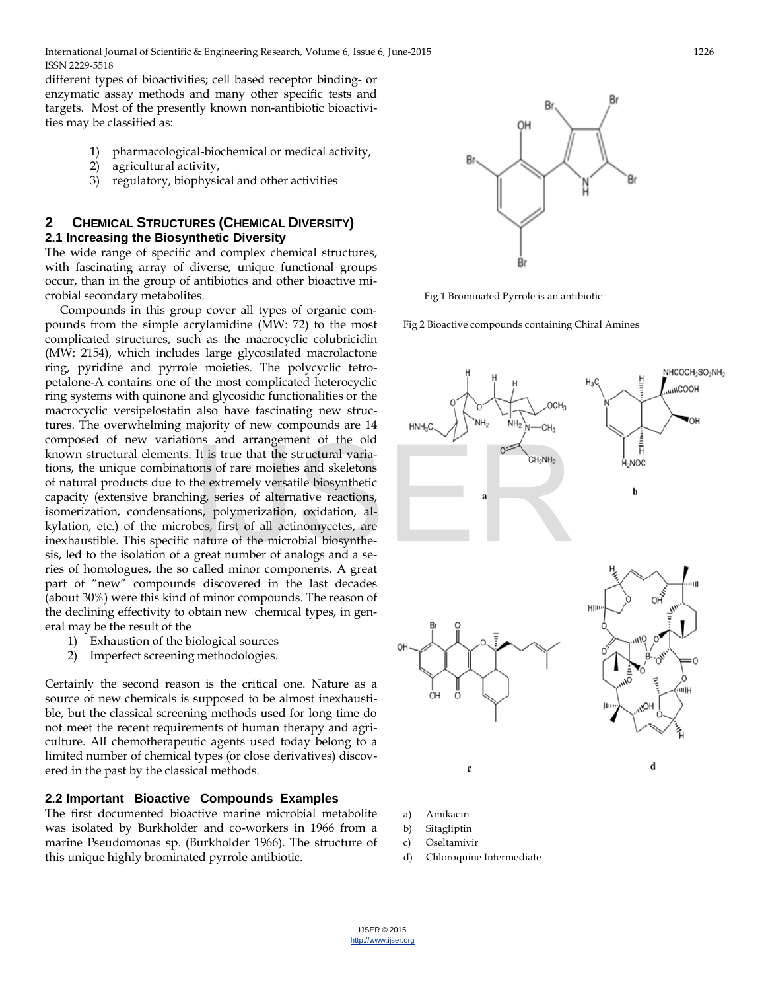International Journal of Scientific & Engineering Research, Volume 6, Issue 6, June-2015 1226 ISSN 2229-5518

different types of bioactivities; cell based receptor binding- or enzymatic assay methods and many other specific tests and targets. Most of the presently known non-antibiotic bioactivities may be classified as:

- 1) pharmacological-biochemical or medical activity,
- 2) agricultural activity,
- 3) regulatory, biophysical and other activities

#### **2 CHEMICAL STRUCTURES (CHEMICAL DIVERSITY) 2.1 Increasing the Biosynthetic Diversity**

The wide range of specific and complex chemical structures, with fascinating array of diverse, unique functional groups occur, than in the group of antibiotics and other bioactive microbial secondary metabolites.

Compounds in this group cover all types of organic compounds from the simple acrylamidine (MW: 72) to the most complicated structures, such as the macrocyclic colubricidin (MW: 2154), which includes large glycosilated macrolactone ring, pyridine and pyrrole moieties. The polycyclic tetropetalone-A contains one of the most complicated heterocyclic ring systems with quinone and glycosidic functionalities or the macrocyclic versipelostatin also have fascinating new structures. The overwhelming majority of new compounds are 14 composed of new variations and arrangement of the old known structural elements. It is true that the structural variations, the unique combinations of rare moieties and skeletons of natural products due to the extremely versatile biosynthetic capacity (extensive branching, series of alternative reactions, isomerization, condensations, polymerization, oxidation, alkylation, etc.) of the microbes, first of all actinomycetes, are inexhaustible. This specific nature of the microbial biosynthesis, led to the isolation of a great number of analogs and a series of homologues, the so called minor components. A great part of "new" compounds discovered in the last decades (about 30%) were this kind of minor compounds. The reason of the declining effectivity to obtain new chemical types, in general may be the result of the

- 1) Exhaustion of the biological sources
- 2) Imperfect screening methodologies.

Certainly the second reason is the critical one. Nature as a source of new chemicals is supposed to be almost inexhaustible, but the classical screening methods used for long time do not meet the recent requirements of human therapy and agriculture. All chemotherapeutic agents used today belong to a limited number of chemical types (or close derivatives) discovered in the past by the classical methods.

#### **2.2 Important Bioactive Compounds Examples**

The first documented bioactive marine microbial metabolite was isolated by Burkholder and co-workers in 1966 from a marine Pseudomonas sp. (Burkholder 1966). The structure of this unique highly brominated pyrrole antibiotic.



Fig 1 Brominated Pyrrole is an antibiotic

Fig 2 Bioactive compounds containing Chiral Amines



- a) Amikacin
- b) Sitagliptin
- c) Oseltamivir
- d) Chloroquine Intermediate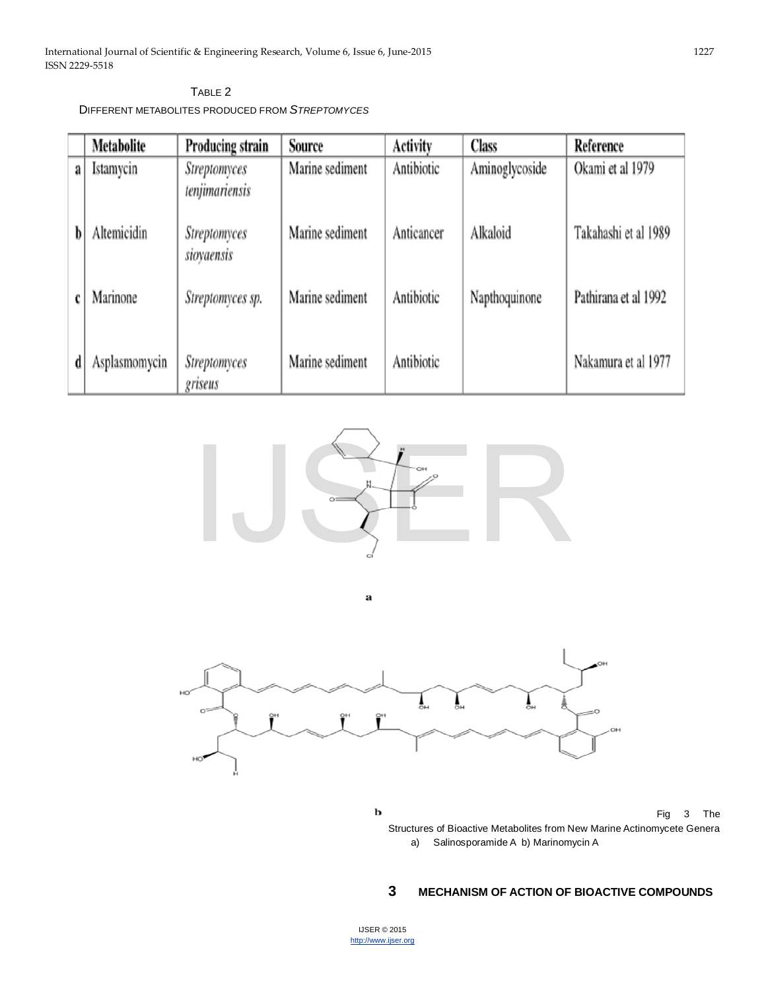International Journal of Scientific & Engineering Research, Volume 6, Issue 6, June-2015 1227 ISSN 2229-5518

TABLE 2 DIFFERENT METABOLITES PRODUCED FROM *STREPTOMYCES*

|   | Metabolite    | <b>Producing strain</b>        | Source          | Activity   | <b>Class</b>   | Reference            |
|---|---------------|--------------------------------|-----------------|------------|----------------|----------------------|
| a | Istamycin     | Streptomyces                   | Marine sediment | Antibiotic | Aminoglycoside | Okami et al 1979     |
|   |               | tenjimariensis                 |                 |            |                |                      |
| b | Altemicidin   | Streptomyces<br>sioyaensis     | Marine sediment | Anticancer | Alkaloid       | Takahashi et al 1989 |
|   | Marinone      | Streptomyces sp.               | Marine sediment | Antibiotic | Napthoquinone  | Pathirana et al 1992 |
| d | Asplasmomycin | <b>Streptomyces</b><br>griseus | Marine sediment | Antibiotic |                | Nakamura et al 1977  |



 $\bf{a}$ 



 $\mathbf b$ Fig 3 The Structures of Bioactive Metabolites from New Marine Actinomycete Genera a) Salinosporamide A b) Marinomycin A

# **3 MECHANISM OF ACTION OF BIOACTIVE COMPOUNDS**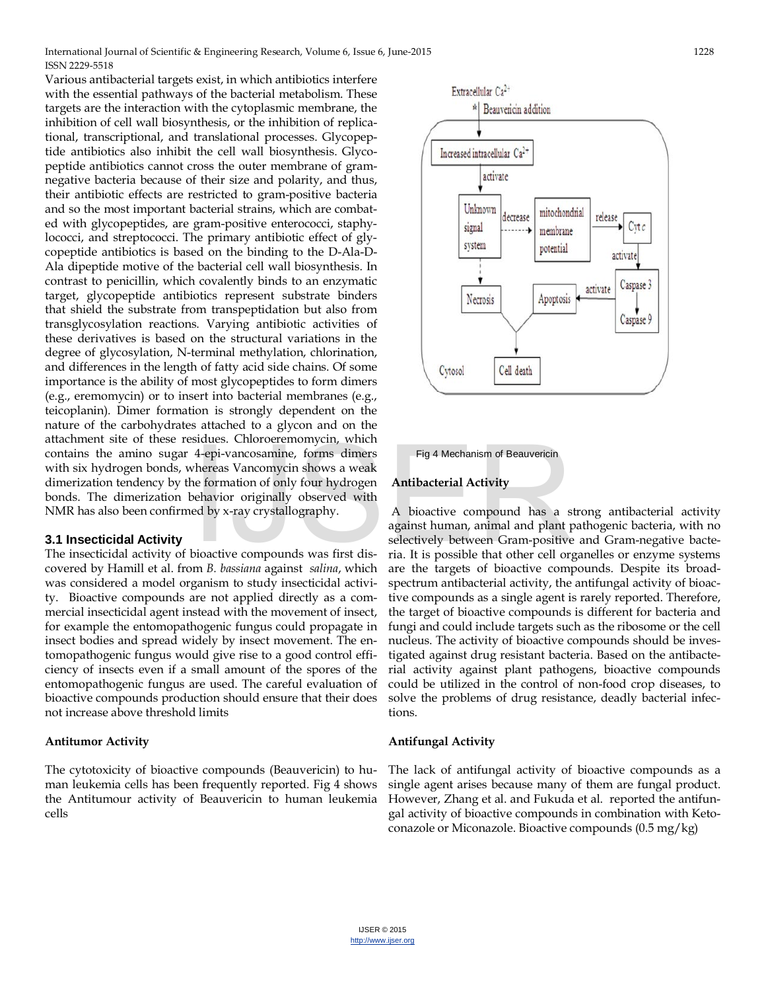International Journal of Scientific & Engineering Research, Volume 6, Issue 6, June-2015 1228 ISSN 2229-5518

Various antibacterial targets exist, in which antibiotics interfere with the essential pathways of the bacterial metabolism. These targets are the interaction with the cytoplasmic membrane, the inhibition of cell wall biosynthesis, or the inhibition of replicational, transcriptional, and translational processes. Glycopeptide antibiotics also inhibit the cell wall biosynthesis. Glycopeptide antibiotics cannot cross the outer membrane of gramnegative bacteria because of their size and polarity, and thus, their antibiotic effects are restricted to gram-positive bacteria and so the most important bacterial strains, which are combated with glycopeptides, are gram-positive enterococci, staphylococci, and streptococci. The primary antibiotic effect of glycopeptide antibiotics is based on the binding to the D-Ala-D-Ala dipeptide motive of the bacterial cell wall biosynthesis. In contrast to penicillin, which covalently binds to an enzymatic target, glycopeptide antibiotics represent substrate binders that shield the substrate from transpeptidation but also from transglycosylation reactions. Varying antibiotic activities of these derivatives is based on the structural variations in the degree of glycosylation, N-terminal methylation, chlorination, and differences in the length of fatty acid side chains. Of some importance is the ability of most glycopeptides to form dimers (e.g., eremomycin) or to insert into bacterial membranes (e.g., teicoplanin). Dimer formation is strongly dependent on the nature of the carbohydrates attached to a glycon and on the attachment site of these residues. Chloroeremomycin, which contains the amino sugar 4-epi-vancosamine, forms dimers with six hydrogen bonds, whereas Vancomycin shows a weak dimerization tendency by the formation of only four hydrogen bonds. The dimerization behavior originally observed with NMR has also been confirmed by x-ray crystallography. Fig 4 Mechanism of Beauvericin<br>
4-epi-vancosamine, forms dimers<br>
Tig 4 Mechanism of Beauvericin<br>
1-epi-vancosamine, forms dimers<br>
Internation of only four hydrogen<br>
Eq 4 Mechanism of Beauvericin<br>
1-epi-vancosamine, forms d

#### **3.1 Insecticidal Activity**

The insecticidal activity of bioactive compounds was first discovered by Hamill et al. from *B. bassiana* against *salina*, which was considered a model organism to study insecticidal activity. Bioactive compounds are not applied directly as a commercial insecticidal agent instead with the movement of insect, for example the entomopathogenic fungus could propagate in insect bodies and spread widely by insect movement. The entomopathogenic fungus would give rise to a good control efficiency of insects even if a small amount of the spores of the entomopathogenic fungus are used. The careful evaluation of bioactive compounds production should ensure that their does not increase above threshold limits

#### **Antitumor Activity**

The cytotoxicity of bioactive compounds (Beauvericin) to human leukemia cells has been frequently reported. Fig 4 shows the Antitumour activity of Beauvericin to human leukemia cells



Fig 4 Mechanism of Beauvericin

#### **Antibacterial Activity**

A bioactive compound has a strong antibacterial activity against human, animal and plant pathogenic bacteria, with no selectively between Gram-positive and Gram-negative bacteria. It is possible that other cell organelles or enzyme systems are the targets of bioactive compounds. Despite its broadspectrum antibacterial activity, the antifungal activity of bioactive compounds as a single agent is rarely reported. Therefore, the target of bioactive compounds is different for bacteria and fungi and could include targets such as the ribosome or the cell nucleus. The activity of bioactive compounds should be investigated against drug resistant bacteria. Based on the antibacterial activity against plant pathogens, bioactive compounds could be utilized in the control of non-food crop diseases, to solve the problems of drug resistance, deadly bacterial infections.

#### **Antifungal Activity**

The lack of antifungal activity of bioactive compounds as a single agent arises because many of them are fungal product. However, Zhang et al. and Fukuda et al. reported the antifungal activity of bioactive compounds in combination with Ketoconazole or Miconazole. Bioactive compounds (0.5 mg/kg)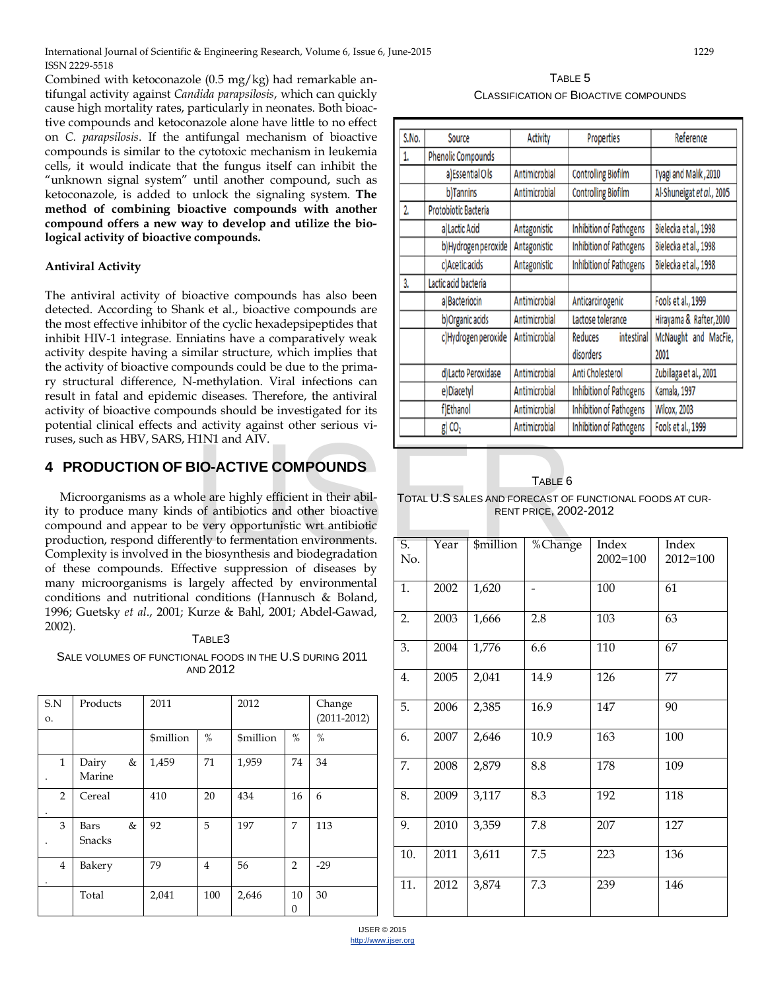International Journal of Scientific & Engineering Research, Volume 6, Issue 6, June-2015 1229 ISSN 2229-5518

Combined with ketoconazole (0.5 mg/kg) had remarkable antifungal activity against *Candida parapsilosis*, which can quickly cause high mortality rates, particularly in neonates. Both bioactive compounds and ketoconazole alone have little to no effect on *C. parapsilosis*. If the antifungal mechanism of bioactive compounds is similar to the cytotoxic mechanism in leukemia cells, it would indicate that the fungus itself can inhibit the "unknown signal system" until another compound, such as ketoconazole, is added to unlock the signaling system. **The method of combining bioactive compounds with another compound offers a new way to develop and utilize the biological activity of bioactive compounds.** 

#### **Antiviral Activity**

The antiviral activity of bioactive compounds has also been detected. According to Shank et al., bioactive compounds are the most effective inhibitor of the cyclic hexadepsipeptides that inhibit HIV-1 integrase. Enniatins have a comparatively weak activity despite having a similar structure, which implies that the activity of bioactive compounds could be due to the primary structural difference, N-methylation. Viral infections can result in fatal and epidemic diseases. Therefore, the antiviral activity of bioactive compounds should be investigated for its potential clinical effects and activity against other serious viruses, such as HBV, SARS, H1N1 and AIV.

# **4 PRODUCTION OF BIO-ACTIVE COMPOUNDS**

Microorganisms as a whole are highly efficient in their ability to produce many kinds of antibiotics and other bioactive compound and appear to be very opportunistic wrt antibiotic production, respond differently to fermentation environments. Complexity is involved in the biosynthesis and biodegradation of these compounds. Effective suppression of diseases by many microorganisms is largely affected by environmental conditions and nutritional conditions (Hannusch & Boland, 1996; Guetsky *et al*., 2001; Kurze & Bahl, 2001; Abdel-Gawad, 2002). **SIO-ACTIVE COMPOUNDS**<br>
TABLE 6<br>
ole are highly efficient in their abil-<br>
of antibiotics and other bioactive<br>
e very opportunistic wrt antibiotic<br>
multy to fermentation environments.<br>
TABLE 6<br>
NO. TOTAL U.S SALES AND FOREC

#### TABLE3

SALE VOLUMES OF FUNCTIONAL FOODS IN THE U.S DURING 2011 AND 2012

| S.N<br>О.      | Products                   | 2011      |      | 2012      |         | Change<br>$(2011 - 2012)$ |
|----------------|----------------------------|-----------|------|-----------|---------|---------------------------|
|                |                            | \$million | $\%$ | \$million | %       | %                         |
| $\mathbf{1}$   | &<br>Dairy<br>Marine       | 1,459     | 71   | 1,959     | 74      | 34                        |
| 2              | Cereal                     | 410       | 20   | 434       | 16      | 6                         |
| 3              | &<br>Bars<br><b>Snacks</b> | 92        | 5    | 197       | 7       | 113                       |
| $\overline{4}$ | Bakery                     | 79        | 4    | 56        | 2       | $-29$                     |
|                | Total                      | 2,041     | 100  | 2,646     | 10<br>0 | 30                        |

 TABLE 5 CLASSIFICATION OF BIOACTIVE COMPOUNDS

| S.No. | Source                    | Activity      | Properties                     | Reference                 |
|-------|---------------------------|---------------|--------------------------------|---------------------------|
| 1.    | <b>Phenolic Compounds</b> |               |                                |                           |
|       | a)Essential Oils          | Antimicrobial | <b>Controlling Biofilm</b>     | Tyagi and Malik, 2010     |
|       | b)Tannins                 | Antimicrobial | <b>Controlling Biofilm</b>     | Al-Shuneigat et al., 2005 |
| 2.    | Protobiotic Bacteria      |               |                                |                           |
|       | a)Lactic Acid             | Antagonistic  | <b>Inhibition of Pathogens</b> | Bielecka et al., 1998     |
|       | b)Hydrogen peroxide       | Antagonistic  | <b>Inhibition of Pathogens</b> | Bielecka et al., 1998     |
|       | c) Acetic acids           | Antagonistic  | <b>Inhibition of Pathogens</b> | Bielecka et al., 1998     |
| 3.    | Lactic acid bacteria      |               |                                |                           |
|       | a)Bacteriocin             | Antimicrobial | Anticarcinogenic               | Fools et al., 1999        |
|       | b) Organic acids          | Antimicrobial | Lactose tolerance              | Hirayama & Rafter, 2000   |
|       | c)Hydrogen peroxide       | Antimicrobial | Reduces<br>intestinal          | McNaught and MacFie,      |
|       |                           |               | disorders                      | 2001                      |
|       | d)Lacto Peroxidase        | Antimicrobial | Anti Cholesterol               | Zubillaga et al., 2001    |
|       | e) Diacetyl               | Antimicrobial | <b>Inhibition of Pathogens</b> | Kamala, 1997              |
|       | f)Ethanol                 | Antimicrobial | <b>Inhibition of Pathogens</b> | <b>Wilcox, 2003</b>       |
|       | $g$ ) CO <sub>2</sub>     | Antimicrobial | <b>Inhibition of Pathogens</b> | Fools et al., 1999        |

#### TABLE 6

#### TOTAL U.S SALES AND FORECAST OF FUNCTIONAL FOODS AT CUR-RENT PRICE, 2002-2012

| S.  | Year | <i><b>\$million</b></i> | %Change | Index        | Index        |
|-----|------|-------------------------|---------|--------------|--------------|
| No. |      |                         |         | $2002 = 100$ | $2012 = 100$ |
| 1.  | 2002 | 1,620                   |         | 100          | 61           |
| 2.  | 2003 | 1,666                   | 2.8     | 103          | 63           |
| 3.  | 2004 | 1,776                   | 6.6     | 110          | 67           |
| 4.  | 2005 | 2,041                   | 14.9    | 126          | 77           |
| 5.  | 2006 | 2,385                   | 16.9    | 147          | 90           |
| 6.  | 2007 | 2,646                   | 10.9    | 163          | 100          |
| 7.  | 2008 | 2,879                   | 8.8     | 178          | 109          |
| 8.  | 2009 | 3,117                   | 8.3     | 192          | 118          |
| 9.  | 2010 | 3,359                   | 7.8     | 207          | 127          |
| 10. | 2011 | 3,611                   | 7.5     | 223          | 136          |
| 11. | 2012 | 3,874                   | 7.3     | 239          | 146          |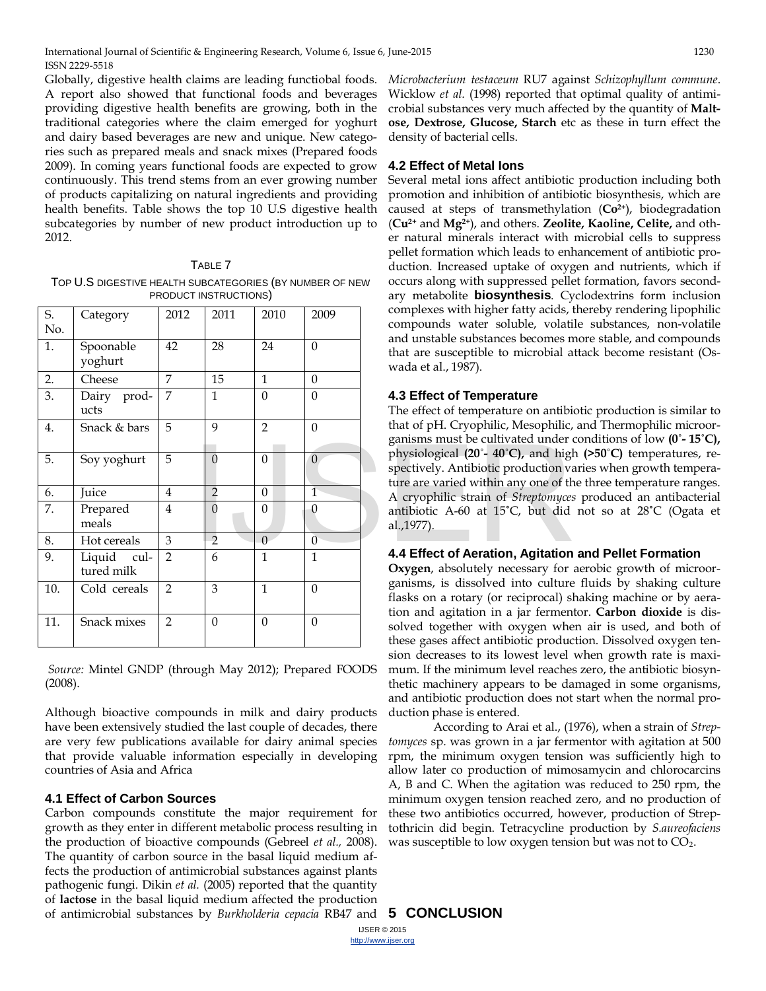Globally, digestive health claims are leading functiobal foods. A report also showed that functional foods and beverages providing digestive health benefits are growing, both in the traditional categories where the claim emerged for yoghurt and dairy based beverages are new and unique. New categories such as prepared meals and snack mixes (Prepared foods 2009). In coming years functional foods are expected to grow continuously. This trend stems from an ever growing number of products capitalizing on natural ingredients and providing health benefits. Table shows the top 10 U.S digestive health subcategories by number of new product introduction up to 2012.

#### TABLE 7

TOP U.S DIGESTIVE HEALTH SUBCATEGORIES (BY NUMBER OF NEW PRODUCT INSTRUCTIONS)

| S.<br>No. | Category                  | 2012           | 2011           | 2010          | 2009           | complexes with higher fatty acids,<br>compounds water soluble, volati                                              |
|-----------|---------------------------|----------------|----------------|---------------|----------------|--------------------------------------------------------------------------------------------------------------------|
| 1.        | Spoonable<br>yoghurt      | 42             | 28             | 24            | $\Omega$       | and unstable substances becomes n<br>that are susceptible to microbial a<br>wada et al., 1987).                    |
| 2.        | Cheese                    | 7              | 15             | $\mathbf{1}$  | $\Omega$       |                                                                                                                    |
| 3.        | Dairy prod-<br>ucts       | 7              | $\mathbf{1}$   | $\Omega$      | $\theta$       | 4.3 Effect of Temperature<br>The effect of temperature on antibi                                                   |
| 4.        | Snack & bars              | 5              | $\mathbf Q$    | $\mathcal{P}$ | $\Omega$       | that of pH. Cryophilic, Mesophilic,<br>ganisms must be cultivated under                                            |
| 5.        | Soy yoghurt               | 5              | $\theta$       | $\Omega$      | $\overline{0}$ | physiological (20°-40°C), and high<br>spectively. Antibiotic production va<br>ture are varied within any one of th |
| 6.        | Juice                     | $\overline{4}$ | $\overline{2}$ | $\Omega$      | $\overline{1}$ | A cryophilic strain of Streptomyces                                                                                |
| 7.        | Prepared<br>meals         | $\overline{4}$ | $\Omega$       | $\Omega$      | 0              | antibiotic A-60 at 15°C, but did<br>al., 1977).                                                                    |
| 8.        | Hot cereals               | 3              | $\overline{2}$ | $\Omega$      | $\overline{0}$ |                                                                                                                    |
| 9.        | Liquid cul-<br>tured milk | $\overline{2}$ | 6              | $\mathbf{1}$  | $\mathbf{1}$   | 4.4 Effect of Aeration, Agitation<br>Oxygen, absolutely necessary for                                              |
| 10.       | Cold cereals              | $\overline{2}$ | 3              | $\mathbf{1}$  | $\theta$       | ganisms, is dissolved into culture<br>flasks on a rotary (or reciprocal) sl<br>tion and agitation in a jar fermen  |
| 11.       | Snack mixes               | $\overline{2}$ | $\Omega$       | $\Omega$      | $\theta$       | solved together with oxygen whe<br>these gases affect antibiotic produc                                            |

*Source:* Mintel GNDP (through May 2012); Prepared FOODS (2008).

Although bioactive compounds in milk and dairy products have been extensively studied the last couple of decades, there are very few publications available for dairy animal species that provide valuable information especially in developing countries of Asia and Africa

### **4.1 Effect of Carbon Sources**

Carbon compounds constitute the major requirement for growth as they enter in different metabolic process resulting in the production of bioactive compounds (Gebreel *et al.,* 2008). The quantity of carbon source in the basal liquid medium affects the production of antimicrobial substances against plants pathogenic fungi. Dikin *et al.* (2005) reported that the quantity of **lactose** in the basal liquid medium affected the production of antimicrobial substances by *Burkholderia cepacia* RB47 and **5 CONCLUSION**

*Microbacterium testaceum* RU7 against *Schizophyllum commune*. Wicklow *et al.* (1998) reported that optimal quality of antimicrobial substances very much affected by the quantity of **Maltose, Dextrose, Glucose, Starch** etc as these in turn effect the density of bacterial cells.

#### **4.2 Effect of Metal Ions**

Several metal ions affect antibiotic production including both promotion and inhibition of antibiotic biosynthesis, which are caused at steps of transmethylation (**Co2+**), biodegradation (**Cu2+** and **Mg2+**), and others. **Zeolite, Kaoline, Celite,** and other natural minerals interact with microbial cells to suppress pellet formation which leads to enhancement of antibiotic production. Increased uptake of oxygen and nutrients, which if occurs along with suppressed pellet formation, favors secondary metabolite **biosynthesis**. Cyclodextrins form inclusion complexes with higher fatty acids, thereby rendering lipophilic compounds water soluble, volatile substances, non-volatile and unstable substances becomes more stable, and compounds that are susceptible to microbial attack become resistant (Oswada et al., 1987).

#### **4.3 Effect of Temperature**

The effect of temperature on antibiotic production is similar to that of pH. Cryophilic, Mesophilic, and Thermophilic microorganisms must be cultivated under conditions of low **(0˚- 15˚C),** physiological **(20˚- 40˚C),** and high **(>50˚C)** temperatures, respectively. Antibiotic production varies when growth temperature are varied within any one of the three temperature ranges. A cryophilic strain of *Streptomyces* produced an antibacterial antibiotic A-60 at 15˚C, but did not so at 28˚C (Ogata et al.,1977).

#### **4.4 Effect of Aeration, Agitation and Pellet Formation**

**Oxygen**, absolutely necessary for aerobic growth of microorganisms, is dissolved into culture fluids by shaking culture flasks on a rotary (or reciprocal) shaking machine or by aeration and agitation in a jar fermentor. **Carbon dioxide** is dissolved together with oxygen when air is used, and both of these gases affect antibiotic production. Dissolved oxygen tension decreases to its lowest level when growth rate is maximum. If the minimum level reaches zero, the antibiotic biosynthetic machinery appears to be damaged in some organisms, and antibiotic production does not start when the normal production phase is entered.

According to Arai et al., (1976), when a strain of *Streptomyces* sp. was grown in a jar fermentor with agitation at 500 rpm, the minimum oxygen tension was sufficiently high to allow later co production of mimosamycin and chlorocarcins A, B and C. When the agitation was reduced to 250 rpm, the minimum oxygen tension reached zero, and no production of these two antibiotics occurred, however, production of Streptothricin did begin. Tetracycline production by *S.aureofaciens*  was susceptible to low oxygen tension but was not to  $CO<sub>2</sub>$ .

IJSER © 2015 [http://www.ijser.org](http://www.ijser.org/)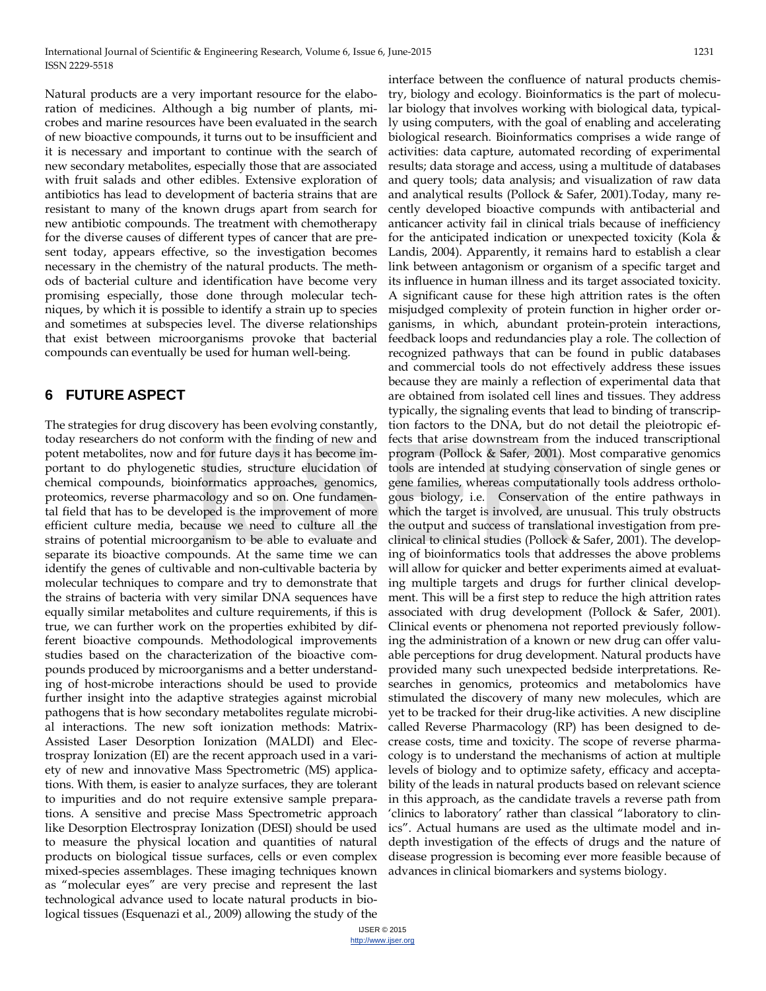Natural products are a very important resource for the elaboration of medicines. Although a big number of plants, microbes and marine resources have been evaluated in the search of new bioactive compounds, it turns out to be insufficient and it is necessary and important to continue with the search of new secondary metabolites, especially those that are associated with fruit salads and other edibles. Extensive exploration of antibiotics has lead to development of bacteria strains that are resistant to many of the known drugs apart from search for new antibiotic compounds. The treatment with chemotherapy for the diverse causes of different types of cancer that are present today, appears effective, so the investigation becomes necessary in the chemistry of the natural products. The methods of bacterial culture and identification have become very promising especially, those done through molecular techniques, by which it is possible to identify a strain up to species and sometimes at subspecies level. The diverse relationships that exist between microorganisms provoke that bacterial compounds can eventually be used for human well-being.

# **6 FUTURE ASPECT**

The strategies for drug discovery has been evolving constantly, today researchers do not conform with the finding of new and potent metabolites, now and for future days it has become important to do phylogenetic studies, structure elucidation of chemical compounds, bioinformatics approaches, genomics, proteomics, reverse pharmacology and so on. One fundamental field that has to be developed is the improvement of more efficient culture media, because we need to culture all the strains of potential microorganism to be able to evaluate and separate its bioactive compounds. At the same time we can identify the genes of cultivable and non-cultivable bacteria by molecular techniques to compare and try to demonstrate that the strains of bacteria with very similar DNA sequences have equally similar metabolites and culture requirements, if this is true, we can further work on the properties exhibited by different bioactive compounds. Methodological improvements studies based on the characterization of the bioactive compounds produced by microorganisms and a better understanding of host-microbe interactions should be used to provide further insight into the adaptive strategies against microbial pathogens that is how secondary metabolites regulate microbial interactions. The new soft ionization methods: Matrix-Assisted Laser Desorption Ionization (MALDI) and Electrospray Ionization (EI) are the recent approach used in a variety of new and innovative Mass Spectrometric (MS) applications. With them, is easier to analyze surfaces, they are tolerant to impurities and do not require extensive sample preparations. A sensitive and precise Mass Spectrometric approach like Desorption Electrospray Ionization (DESI) should be used to measure the physical location and quantities of natural products on biological tissue surfaces, cells or even complex mixed-species assemblages. These imaging techniques known as "molecular eyes" are very precise and represent the last technological advance used to locate natural products in biological tissues (Esquenazi et al., 2009) allowing the study of the Throm which the intention of the and the state and the studies, structure elucidation of tools are intended at studying constraints approaches, genomics, gene families, whereas computation acology and so on. One fundamen-g

interface between the confluence of natural products chemistry, biology and ecology. Bioinformatics is the part of molecular biology that involves working with biological data, typically using computers, with the goal of enabling and accelerating biological research. Bioinformatics comprises a wide range of activities: data capture, automated recording of experimental results; data storage and access, using a multitude of databases and query tools; data analysis; and visualization of raw data and analytical results (Pollock & Safer, 2001).Today, many recently developed bioactive compunds with antibacterial and anticancer activity fail in clinical trials because of inefficiency for the anticipated indication or unexpected toxicity (Kola & Landis, 2004). Apparently, it remains hard to establish a clear link between antagonism or organism of a specific target and its influence in human illness and its target associated toxicity. A significant cause for these high attrition rates is the often misjudged complexity of protein function in higher order organisms, in which, abundant protein-protein interactions, feedback loops and redundancies play a role. The collection of recognized pathways that can be found in public databases and commercial tools do not effectively address these issues because they are mainly a reflection of experimental data that are obtained from isolated cell lines and tissues. They address typically, the signaling events that lead to binding of transcription factors to the DNA, but do not detail the pleiotropic effects that arise downstream from the induced transcriptional program (Pollock & Safer, 2001). Most comparative genomics tools are intended at studying conservation of single genes or gene families, whereas computationally tools address orthologous biology, i.e. Conservation of the entire pathways in which the target is involved, are unusual. This truly obstructs the output and success of translational investigation from preclinical to clinical studies (Pollock & Safer, 2001). The developing of bioinformatics tools that addresses the above problems will allow for quicker and better experiments aimed at evaluating multiple targets and drugs for further clinical development. This will be a first step to reduce the high attrition rates associated with drug development (Pollock & Safer, 2001). Clinical events or phenomena not reported previously following the administration of a known or new drug can offer valuable perceptions for drug development. Natural products have provided many such unexpected bedside interpretations. Researches in genomics, proteomics and metabolomics have stimulated the discovery of many new molecules, which are yet to be tracked for their drug-like activities. A new discipline called Reverse Pharmacology (RP) has been designed to decrease costs, time and toxicity. The scope of reverse pharmacology is to understand the mechanisms of action at multiple levels of biology and to optimize safety, efficacy and acceptability of the leads in natural products based on relevant science in this approach, as the candidate travels a reverse path from 'clinics to laboratory' rather than classical "laboratory to clinics". Actual humans are used as the ultimate model and indepth investigation of the effects of drugs and the nature of disease progression is becoming ever more feasible because of advances in clinical biomarkers and systems biology.

IJSER © 2015 [http://www.ijser.org](http://www.ijser.org/)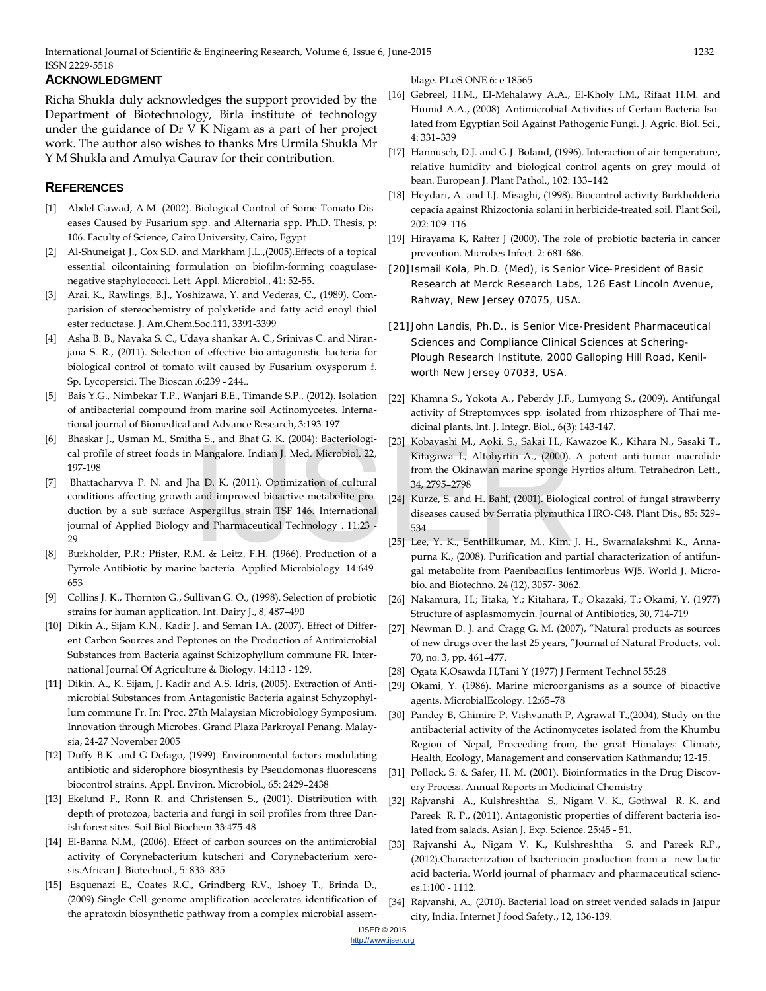#### **ACKNOWLEDGMENT**

Richa Shukla duly acknowledges the support provided by the Department of Biotechnology, Birla institute of technology under the guidance of Dr V K Nigam as a part of her project work. The author also wishes to thanks Mrs Urmila Shukla Mr Y M Shukla and Amulya Gaurav for their contribution.

### **REFERENCES**

- [1] Abdel-Gawad, A.M. (2002). Biological Control of Some Tomato Diseases Caused by Fusarium spp. and Alternaria spp. Ph.D. Thesis, p: 106. Faculty of Science, Cairo University, Cairo, Egypt
- [2] Al-Shuneigat J., Cox S.D. and Markham J.L.,(2005).Effects of a topical essential oilcontaining formulation on biofilm-forming coagulasenegative staphylococci. Lett. Appl. Microbiol., 41: 52-55.
- [3] Arai, K., Rawlings, B.J., Yoshizawa, Y. and Vederas, C., (1989). Comparision of stereochemistry of polyketide and fatty acid enoyl thiol ester reductase. J. Am.Chem.Soc.111, 3391-3399
- [4] Asha B. B., Nayaka S. C., Udaya shankar A. C., Srinivas C. and Niranjana S. R., (2011). Selection of effective bio-antagonistic bacteria for biological control of tomato wilt caused by Fusarium oxysporum f. Sp. Lycopersici. The Bioscan .6:239 - 244..
- [5] Bais Y.G., Nimbekar T.P., Wanjari B.E., Timande S.P., (2012). Isolation of antibacterial compound from marine soil Actinomycetes. International journal of Biomedical and Advance Research, 3:193-197
- Bhaskar J., Usman M., Smitha S., and Bhat G. K. (2004): Bacteriological profile of street foods in Mangalore. Indian J. Med. Microbiol. 22, 197-198
- [7] Bhattacharyya P. N. and Jha D. K. (2011). Optimization of cultural conditions affecting growth and improved bioactive metabolite production by a sub surface Aspergillus strain TSF 146. International journal of Applied Biology and Pharmaceutical Technology . 11:23 - 29. Mangalore. Indian J. Med. Microbiol. 22,<br>
Mangalore. Indian J. Med. Microbiol. 22,<br>
Itagawa I., Altohyrtin A., (2000).<br>
from the Okinawan marine sponge I<br>
and improved bioactive metabolite pro-<br>
Aspergillus strain TSF 146.
- [8] Burkholder, P.R.; Pfister, R.M. & Leitz, F.H. (1966). Production of a Pyrrole Antibiotic by marine bacteria. Applied Microbiology. 14:649- 653
- [9] Collins J. K., Thornton G., Sullivan G. O., (1998). Selection of probiotic strains for human application. Int. Dairy J., 8, 487–490
- [10] Dikin A., Sijam K.N., Kadir J. and Seman I.A. (2007). Effect of Different Carbon Sources and Peptones on the Production of Antimicrobial Substances from Bacteria against Schizophyllum commune FR. International Journal Of Agriculture & Biology. 14:113 - 129.
- [11] Dikin. A., K. Sijam, J. Kadir and A.S. Idris, (2005). Extraction of Antimicrobial Substances from Antagonistic Bacteria against Schyzophyllum commune Fr. In: Proc. 27th Malaysian Microbiology Symposium. Innovation through Microbes. Grand Plaza Parkroyal Penang. Malaysia, 24-27 November 2005
- [12] Duffy B.K. and G Defago, (1999). Environmental factors modulating antibiotic and siderophore biosynthesis by Pseudomonas fluorescens biocontrol strains. Appl. Environ. Microbiol., 65: 2429–2438
- [13] Ekelund F., Ronn R. and Christensen S., (2001). Distribution with depth of protozoa, bacteria and fungi in soil profiles from three Danish forest sites. Soil Biol Biochem 33:475-48
- [14] El-Banna N.M., (2006). Effect of carbon sources on the antimicrobial activity of Corynebacterium kutscheri and Corynebacterium xerosis.African J. Biotechnol., 5: 833–835
- [15] Esquenazi E., Coates R.C., Grindberg R.V., Ishoey T., Brinda D., (2009) Single Cell genome amplification accelerates identification of the apratoxin biosynthetic pathway from a complex microbial assem-

blage. PLoS ONE 6: e 18565

- [16] Gebreel, H.M., El-Mehalawy A.A., El-Kholy I.M., Rifaat H.M. and Humid A.A., (2008). Antimicrobial Activities of Certain Bacteria Isolated from Egyptian Soil Against Pathogenic Fungi. J. Agric. Biol. Sci., 4: 331–339
- [17] Hannusch, D.J. and G.J. Boland, (1996). Interaction of air temperature, relative humidity and biological control agents on grey mould of bean. European J. Plant Pathol., 102: 133–142
- [18] Heydari, A. and I.J. Misaghi, (1998). Biocontrol activity Burkholderia cepacia against Rhizoctonia solani in herbicide-treated soil. Plant Soil, 202: 109–116
- [19] Hirayama K, Rafter J (2000). The role of probiotic bacteria in cancer prevention. Microbes Infect. 2: 681-686.
- [20]Ismail Kola, Ph.D. (Med), is Senior Vice-President of Basic Research at Merck Research Labs, 126 East Lincoln Avenue, Rahway, New Jersey 07075, USA.
- [21]John Landis, Ph.D., is Senior Vice-President Pharmaceutical Sciences and Compliance Clinical Sciences at Schering-Plough Research Institute, 2000 Galloping Hill Road, Kenilworth New Jersey 07033, USA.
- [22] Khamna S., Yokota A., Peberdy J.F., Lumyong S., (2009). Antifungal activity of Streptomyces spp. isolated from rhizosphere of Thai medicinal plants. Int. J. Integr. Biol., 6(3): 143-147.
- [23] Kobayashi M., Aoki. S., Sakai H., Kawazoe K., Kihara N., Sasaki T., Kitagawa I., Altohyrtin A., (2000). A potent anti-tumor macrolide from the Okinawan marine sponge Hyrtios altum. Tetrahedron Lett., 34, 2795–2798
- [24] Kurze, S. and H. Bahl, (2001). Biological control of fungal strawberry diseases caused by Serratia plymuthica HRO-C48. Plant Dis., 85: 529– 534
- [25] Lee, Y. K., Senthilkumar, M., Kim, J. H., Swarnalakshmi K., Annapurna K., (2008). Purification and partial characterization of antifungal metabolite from Paenibacillus lentimorbus WJ5. World J. Microbio. and Biotechno. 24 (12), 3057- 3062.
- [26] Nakamura, H.; Iitaka, Y.; Kitahara, T.; Okazaki, T.; Okami, Y. (1977) Structure of asplasmomycin. Journal of Antibiotics, 30, 714-719
- [27] Newman D. J. and Cragg G. M. (2007), "Natural products as sources of new drugs over the last 25 years, "Journal of Natural Products, vol. 70, no. 3, pp. 461–477.
- [28] Ogata K,Osawda H,Tani Y (1977) J Ferment Technol 55:28
- [29] Okami, Y. (1986). Marine microorganisms as a source of bioactive agents. MicrobialEcology. 12:65–78
- [30] Pandey B, Ghimire P, Vishvanath P, Agrawal T.,(2004), Study on the antibacterial activity of the Actinomycetes isolated from the Khumbu Region of Nepal, Proceeding from, the great Himalays: Climate, Health, Ecology, Management and conservation Kathmandu; 12-15.
- [31] Pollock, S. & Safer, H. M. (2001). Bioinformatics in the Drug Discovery Process. Annual Reports in Medicinal Chemistry
- [32] Rajvanshi A., Kulshreshtha S., Nigam V. K., Gothwal R. K. and Pareek R. P., (2011). Antagonistic properties of different bacteria isolated from salads. Asian J. Exp. Science. 25:45 - 51.
- [33] Rajvanshi A., Nigam V. K., Kulshreshtha S. and Pareek R.P., (2012).Characterization of bacteriocin production from a new lactic acid bacteria. World journal of pharmacy and pharmaceutical sciences.1:100 - 1112.
- [34] Rajvanshi, A., (2010). Bacterial load on street vended salads in Jaipur city, India. Internet J food Safety., 12, 136-139.